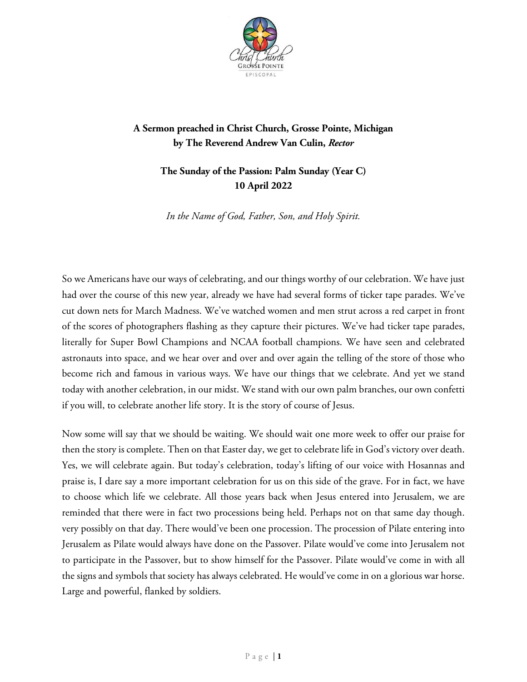

## **A Sermon preached in Christ Church, Grosse Pointe, Michigan by The Reverend Andrew Van Culin,** *Rector*

## **The Sunday of the Passion: Palm Sunday (Year C) 10 April 2022**

*In the Name of God, Father, Son, and Holy Spirit.*

So we Americans have our ways of celebrating, and our things worthy of our celebration. We have just had over the course of this new year, already we have had several forms of ticker tape parades. We've cut down nets for March Madness. We've watched women and men strut across a red carpet in front of the scores of photographers flashing as they capture their pictures. We've had ticker tape parades, literally for Super Bowl Champions and NCAA football champions. We have seen and celebrated astronauts into space, and we hear over and over and over again the telling of the store of those who become rich and famous in various ways. We have our things that we celebrate. And yet we stand today with another celebration, in our midst. We stand with our own palm branches, our own confetti if you will, to celebrate another life story. It is the story of course of Jesus.

Now some will say that we should be waiting. We should wait one more week to offer our praise for then the story is complete. Then on that Easter day, we get to celebrate life in God's victory over death. Yes, we will celebrate again. But today's celebration, today's lifting of our voice with Hosannas and praise is, I dare say a more important celebration for us on this side of the grave. For in fact, we have to choose which life we celebrate. All those years back when Jesus entered into Jerusalem, we are reminded that there were in fact two processions being held. Perhaps not on that same day though. very possibly on that day. There would've been one procession. The procession of Pilate entering into Jerusalem as Pilate would always have done on the Passover. Pilate would've come into Jerusalem not to participate in the Passover, but to show himself for the Passover. Pilate would've come in with all the signs and symbols that society has always celebrated. He would've come in on a glorious war horse. Large and powerful, flanked by soldiers.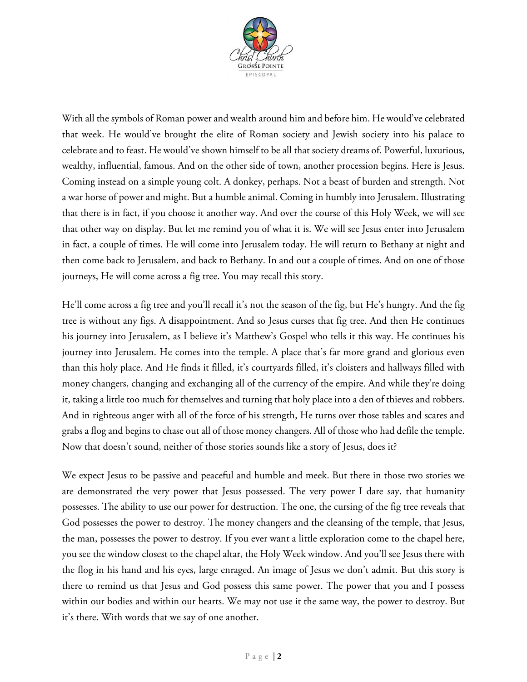

With all the symbols of Roman power and wealth around him and before him. He would've celebrated that week. He would've brought the elite of Roman society and Jewish society into his palace to celebrate and to feast. He would've shown himself to be all that society dreams of. Powerful, luxurious, wealthy, influential, famous. And on the other side of town, another procession begins. Here is Jesus. Coming instead on a simple young colt. A donkey, perhaps. Not a beast of burden and strength. Not a war horse of power and might. But a humble animal. Coming in humbly into Jerusalem. Illustrating that there is in fact, if you choose it another way. And over the course of this Holy Week, we will see that other way on display. But let me remind you of what it is. We will see Jesus enter into Jerusalem in fact, a couple of times. He will come into Jerusalem today. He will return to Bethany at night and then come back to Jerusalem, and back to Bethany. In and out a couple of times. And on one of those journeys, He will come across a fig tree. You may recall this story.

He'll come across a fig tree and you'll recall it's not the season of the fig, but He's hungry. And the fig tree is without any figs. A disappointment. And so Jesus curses that fig tree. And then He continues his journey into Jerusalem, as I believe it's Matthew's Gospel who tells it this way. He continues his journey into Jerusalem. He comes into the temple. A place that's far more grand and glorious even than this holy place. And He finds it filled, it's courtyards filled, it's cloisters and hallways filled with money changers, changing and exchanging all of the currency of the empire. And while they're doing it, taking a little too much for themselves and turning that holy place into a den of thieves and robbers. And in righteous anger with all of the force of his strength, He turns over those tables and scares and grabs a flog and begins to chase out all of those money changers. All of those who had defile the temple. Now that doesn't sound, neither of those stories sounds like a story of Jesus, does it?

We expect Jesus to be passive and peaceful and humble and meek. But there in those two stories we are demonstrated the very power that Jesus possessed. The very power I dare say, that humanity possesses. The ability to use our power for destruction. The one, the cursing of the fig tree reveals that God possesses the power to destroy. The money changers and the cleansing of the temple, that Jesus, the man, possesses the power to destroy. If you ever want a little exploration come to the chapel here, you see the window closest to the chapel altar, the Holy Week window. And you'll see Jesus there with the flog in his hand and his eyes, large enraged. An image of Jesus we don't admit. But this story is there to remind us that Jesus and God possess this same power. The power that you and I possess within our bodies and within our hearts. We may not use it the same way, the power to destroy. But it's there. With words that we say of one another.